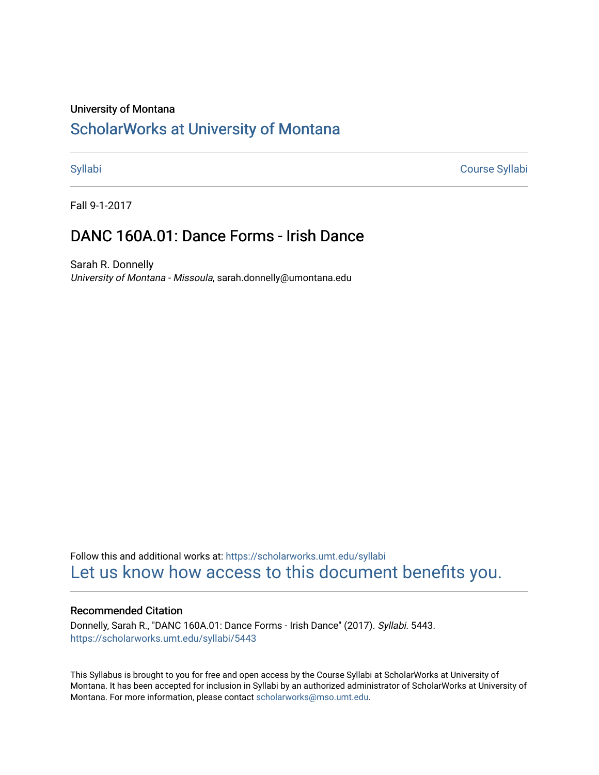#### University of Montana

# [ScholarWorks at University of Montana](https://scholarworks.umt.edu/)

[Syllabi](https://scholarworks.umt.edu/syllabi) [Course Syllabi](https://scholarworks.umt.edu/course_syllabi) 

Fall 9-1-2017

# DANC 160A.01: Dance Forms - Irish Dance

Sarah R. Donnelly University of Montana - Missoula, sarah.donnelly@umontana.edu

Follow this and additional works at: [https://scholarworks.umt.edu/syllabi](https://scholarworks.umt.edu/syllabi?utm_source=scholarworks.umt.edu%2Fsyllabi%2F5443&utm_medium=PDF&utm_campaign=PDFCoverPages)  [Let us know how access to this document benefits you.](https://goo.gl/forms/s2rGfXOLzz71qgsB2) 

#### Recommended Citation

Donnelly, Sarah R., "DANC 160A.01: Dance Forms - Irish Dance" (2017). Syllabi. 5443. [https://scholarworks.umt.edu/syllabi/5443](https://scholarworks.umt.edu/syllabi/5443?utm_source=scholarworks.umt.edu%2Fsyllabi%2F5443&utm_medium=PDF&utm_campaign=PDFCoverPages)

This Syllabus is brought to you for free and open access by the Course Syllabi at ScholarWorks at University of Montana. It has been accepted for inclusion in Syllabi by an authorized administrator of ScholarWorks at University of Montana. For more information, please contact [scholarworks@mso.umt.edu.](mailto:scholarworks@mso.umt.edu)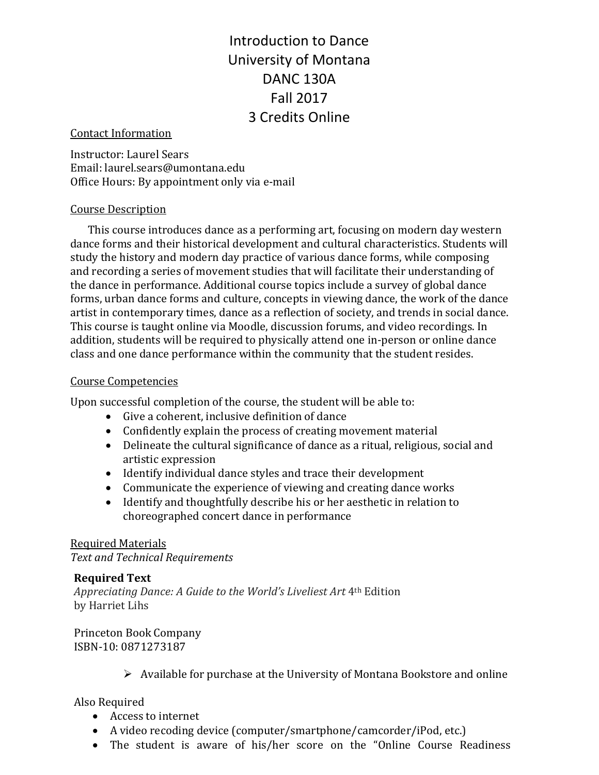Introduction to Dance University of Montana DANC 130A Fall 2017 3 Credits Online

#### Contact Information

Instructor: Laurel Sears Email: laurel.sears@umontana.edu Office Hours: By appointment only via e-mail

#### Course Description

This course introduces dance as a performing art, focusing on modern day western dance forms and their historical development and cultural characteristics. Students will study the history and modern day practice of various dance forms, while composing and recording a series of movement studies that will facilitate their understanding of the dance in performance. Additional course topics include a survey of global dance forms, urban dance forms and culture, concepts in viewing dance, the work of the dance artist in contemporary times, dance as a reflection of society, and trends in social dance. This course is taught online via Moodle, discussion forums, and video recordings. In addition, students will be required to physically attend one in-person or online dance class and one dance performance within the community that the student resides.

#### Course Competencies

Upon successful completion of the course, the student will be able to:

- Give a coherent, inclusive definition of dance
- Confidently explain the process of creating movement material
- Delineate the cultural significance of dance as a ritual, religious, social and artistic expression
- Identify individual dance styles and trace their development
- Communicate the experience of viewing and creating dance works
- Identify and thoughtfully describe his or her aesthetic in relation to choreographed concert dance in performance

#### Required Materials

*Text and Technical Requirements*

#### **Required Text**

*Appreciating Dance: A Guide to the World's Liveliest Art* 4th Edition by Harriet Lihs

Princeton Book Company ISBN-10: 0871273187

 $\triangleright$  Available for purchase at the University of Montana Bookstore and online

# Also Required

- Access to internet
- A video recoding device (computer/smartphone/camcorder/iPod, etc.)
- The student is aware of his/her score on the "Online Course Readiness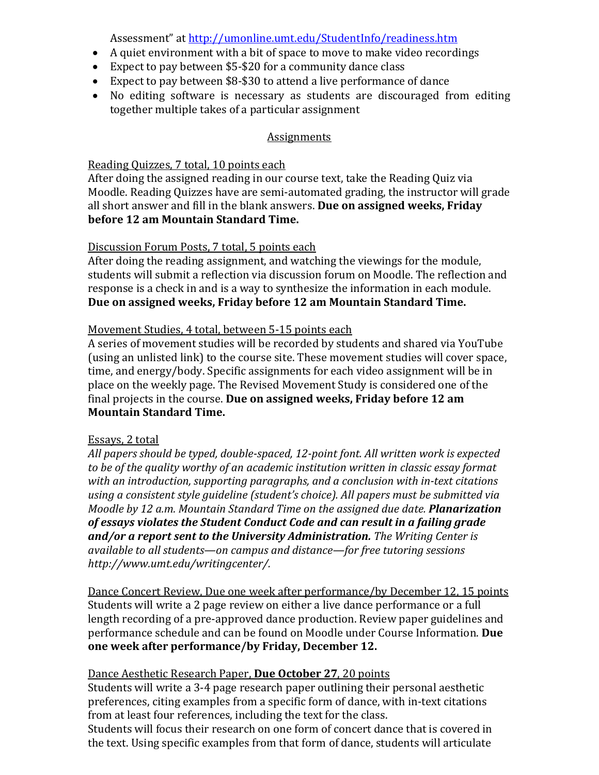Assessment" at<http://umonline.umt.edu/StudentInfo/readiness.htm>

- A quiet environment with a bit of space to move to make video recordings
- Expect to pay between \$5-\$20 for a community dance class
- Expect to pay between \$8-\$30 to attend a live performance of dance<br>• No editing software is necessary as students are discouraged fr
- No editing software is necessary as students are discouraged from editing together multiple takes of a particular assignment

# **Assignments**

# Reading Quizzes, 7 total, 10 points each

After doing the assigned reading in our course text, take the Reading Quiz via Moodle. Reading Quizzes have are semi-automated grading, the instructor will grade all short answer and fill in the blank answers. **Due on assigned weeks, Friday before 12 am Mountain Standard Time.**

# Discussion Forum Posts, 7 total, 5 points each

After doing the reading assignment, and watching the viewings for the module, students will submit a reflection via discussion forum on Moodle. The reflection and response is a check in and is a way to synthesize the information in each module. **Due on assigned weeks, Friday before 12 am Mountain Standard Time.**

# Movement Studies, 4 total, between 5-15 points each

A series of movement studies will be recorded by students and shared via YouTube (using an unlisted link) to the course site. These movement studies will cover space, time, and energy/body. Specific assignments for each video assignment will be in place on the weekly page. The Revised Movement Study is considered one of the final projects in the course. **Due on assigned weeks, Friday before 12 am Mountain Standard Time.**

#### Essays, 2 total

*All papers should be typed, double-spaced, 12-point font. All written work is expected to be of the quality worthy of an academic institution written in classic essay format with an introduction, supporting paragraphs, and a conclusion with in-text citations using a consistent style guideline (student's choice). All papers must be submitted via Moodle by 12 a.m. Mountain Standard Time on the assigned due date. Planarization of essays violates the Student Conduct Code and can result in a failing grade and/or a report sent to the University Administration. The Writing Center is available to all students—on campus and distance—for free tutoring sessions http://www.umt.edu/writingcenter/.* 

Dance Concert Review, Due one week after performance/by December 12, 15 points Students will write a 2 page review on either a live dance performance or a full length recording of a pre-approved dance production. Review paper guidelines and performance schedule and can be found on Moodle under Course Information. **Due one week after performance/by Friday, December 12.** 

# Dance Aesthetic Research Paper, **Due October 27**, 20 points

Students will write a 3-4 page research paper outlining their personal aesthetic preferences, citing examples from a specific form of dance, with in-text citations from at least four references, including the text for the class.

Students will focus their research on one form of concert dance that is covered in the text. Using specific examples from that form of dance, students will articulate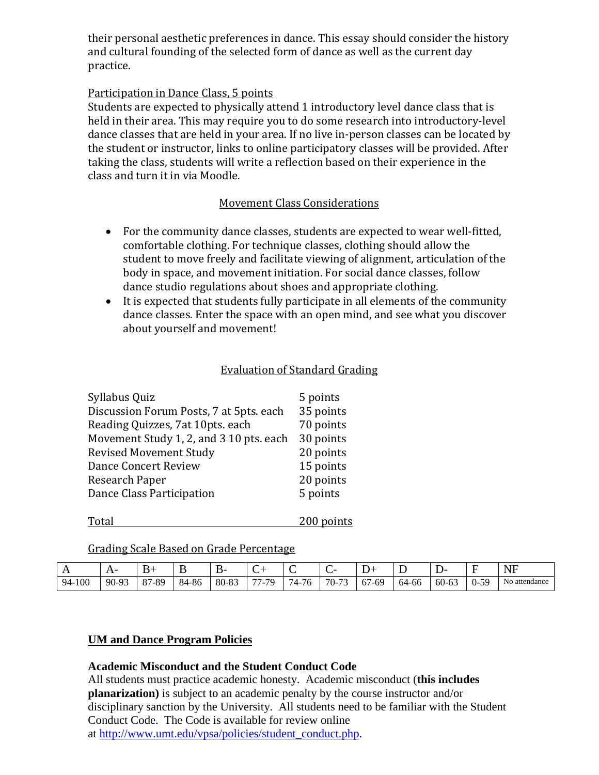their personal aesthetic preferences in dance. This essay should consider the history and cultural founding of the selected form of dance as well as the current day practice.

### Participation in Dance Class, 5 points

Students are expected to physically attend 1 introductory level dance class that is held in their area. This may require you to do some research into introductory-level dance classes that are held in your area. If no live in-person classes can be located by the student or instructor, links to online participatory classes will be provided. After taking the class, students will write a reflection based on their experience in the class and turn it in via Moodle.

# Movement Class Considerations

- For the community dance classes, students are expected to wear well-fitted, comfortable clothing. For technique classes, clothing should allow the student to move freely and facilitate viewing of alignment, articulation of the body in space, and movement initiation. For social dance classes, follow dance studio regulations about shoes and appropriate clothing.
- It is expected that students fully participate in all elements of the community dance classes. Enter the space with an open mind, and see what you discover about yourself and movement!

#### Evaluation of Standard Grading

| Syllabus Quiz                           | 5 points   |
|-----------------------------------------|------------|
| Discussion Forum Posts, 7 at 5pts. each | 35 points  |
| Reading Quizzes, 7at 10pts. each        | 70 points  |
| Movement Study 1, 2, and 3 10 pts. each | 30 points  |
| <b>Revised Movement Study</b>           | 20 points  |
| Dance Concert Review                    | 15 points  |
| Research Paper                          | 20 points  |
| Dance Class Participation               | 5 points   |
| <b>Total</b>                            | 200 points |

Grading Scale Based on Grade Percentage

| . .    | -       |       |       | В٠    | ◡                                      | ∽                    |                       |             | <b>.</b> | <br>້     | –              | $\sqrt{11}$<br>N<br>1 V I      |
|--------|---------|-------|-------|-------|----------------------------------------|----------------------|-----------------------|-------------|----------|-----------|----------------|--------------------------------|
| 94-100 | $90-93$ | 87-89 | 84-86 | 80-83 | $\overline{\phantom{a}}$<br>70.<br>. . | $\sim$<br>$\Delta$ - | $\mathbf{z}$<br>$70-$ | 67<br>. -69 | 64-66    | $60 - 63$ | 50<br>$\Omega$ | $\sim$ $\sim$<br>No attendance |

#### **UM and Dance Program Policies**

#### **Academic Misconduct and the Student Conduct Code**

All students must practice academic honesty. Academic misconduct (**this includes planarization)** is subject to an academic penalty by the course instructor and/or disciplinary sanction by the University. All students need to be familiar with the Student Conduct Code. The Code is available for review online at [http://www.umt.edu/vpsa/policies/student\\_conduct.php.](http://www.umt.edu/vpsa/policies/student_conduct.php)